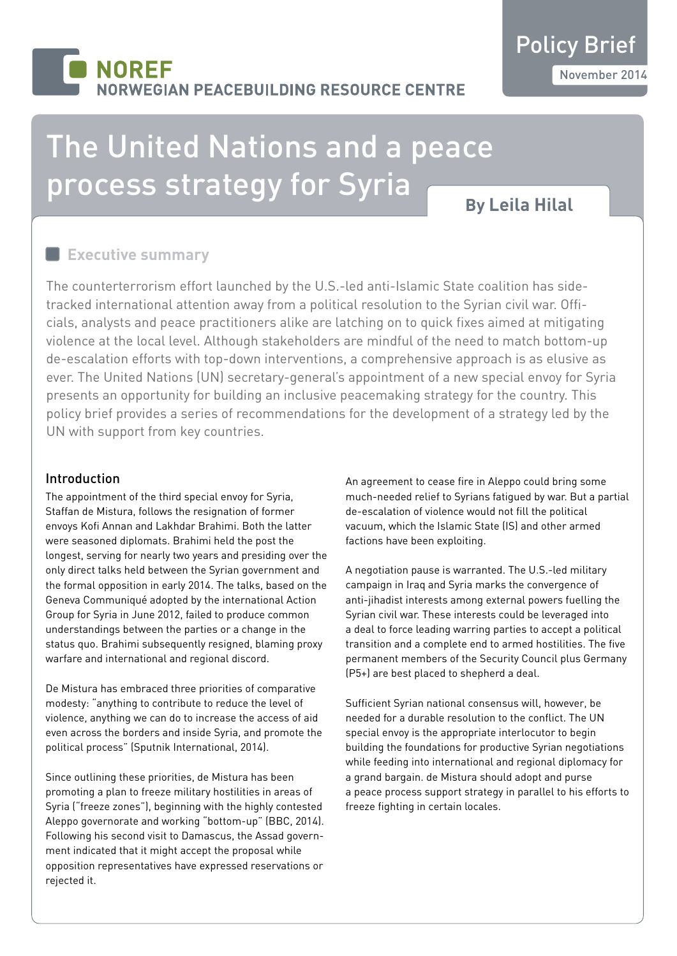## **NORFF** RWEGIAN PEACEBUILDING RESOURCE CENTRE

# The United Nations and a peace process strategy for Syria

## **By Leila Hilal**

### **Executive summary**

The counterterrorism effort launched by the U.S.-led anti-Islamic State coalition has sidetracked international attention away from a political resolution to the Syrian civil war. Officials, analysts and peace practitioners alike are latching on to quick fixes aimed at mitigating violence at the local level. Although stakeholders are mindful of the need to match bottom-up de-escalation efforts with top-down interventions, a comprehensive approach is as elusive as ever. The United Nations (UN) secretary-general's appointment of a new special envoy for Syria presents an opportunity for building an inclusive peacemaking strategy for the country. This policy brief provides a series of recommendations for the development of a strategy led by the UN with support from key countries.

#### Introduction

The appointment of the third special envoy for Syria, Staffan de Mistura, follows the resignation of former envoys Kofi Annan and Lakhdar Brahimi. Both the latter were seasoned diplomats. Brahimi held the post the longest, serving for nearly two years and presiding over the only direct talks held between the Syrian government and the formal opposition in early 2014. The talks, based on the Geneva Communiqué adopted by the international Action Group for Syria in June 2012, failed to produce common understandings between the parties or a change in the status quo. Brahimi subsequently resigned, blaming proxy warfare and international and regional discord.

De Mistura has embraced three priorities of comparative modesty: "anything to contribute to reduce the level of violence, anything we can do to increase the access of aid even across the borders and inside Syria, and promote the political process" (Sputnik International, 2014).

Since outlining these priorities, de Mistura has been promoting a plan to freeze military hostilities in areas of Syria ("freeze zones"), beginning with the highly contested Aleppo governorate and working "bottom-up" (BBC, 2014). Following his second visit to Damascus, the Assad government indicated that it might accept the proposal while opposition representatives have expressed reservations or rejected it.

An agreement to cease fire in Aleppo could bring some much-needed relief to Syrians fatigued by war. But a partial de-escalation of violence would not fill the political vacuum, which the Islamic State (IS) and other armed factions have been exploiting.

A negotiation pause is warranted. The U.S.-led military campaign in Iraq and Syria marks the convergence of anti-jihadist interests among external powers fuelling the Syrian civil war. These interests could be leveraged into a deal to force leading warring parties to accept a political transition and a complete end to armed hostilities. The five permanent members of the Security Council plus Germany (P5+) are best placed to shepherd a deal.

Sufficient Syrian national consensus will, however, be needed for a durable resolution to the conflict. The UN special envoy is the appropriate interlocutor to begin building the foundations for productive Syrian negotiations while feeding into international and regional diplomacy for a grand bargain. de Mistura should adopt and purse a peace process support strategy in parallel to his efforts to freeze fighting in certain locales.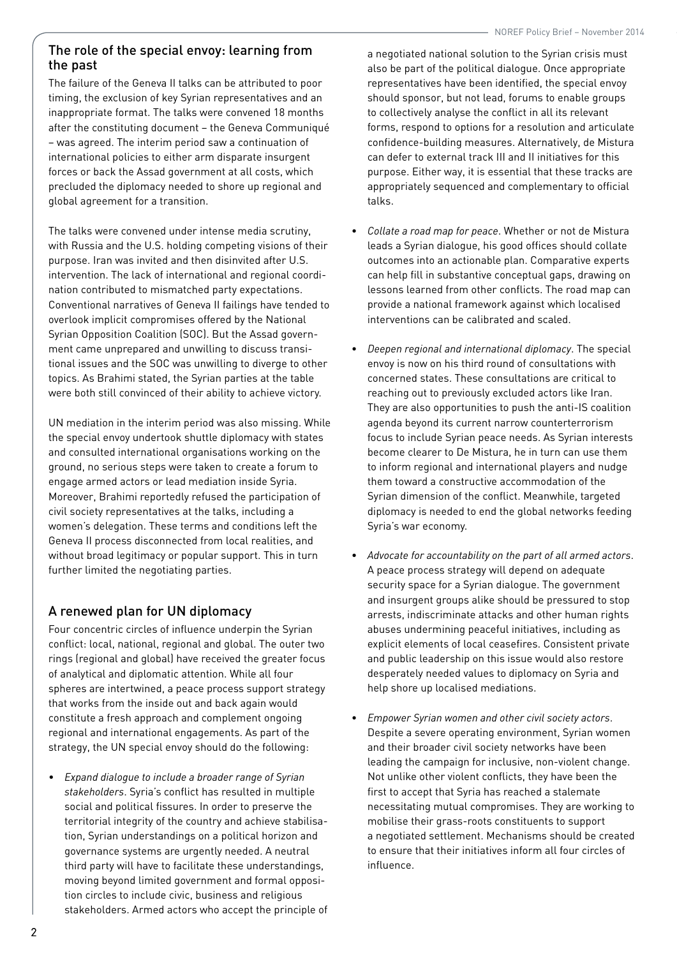#### The role of the special envoy: learning from the past

The failure of the Geneva II talks can be attributed to poor timing, the exclusion of key Syrian representatives and an inappropriate format. The talks were convened 18 months after the constituting document – the Geneva Communiqué – was agreed. The interim period saw a continuation of international policies to either arm disparate insurgent forces or back the Assad government at all costs, which precluded the diplomacy needed to shore up regional and global agreement for a transition.

The talks were convened under intense media scrutiny, with Russia and the U.S. holding competing visions of their purpose. Iran was invited and then disinvited after U.S. intervention. The lack of international and regional coordination contributed to mismatched party expectations. Conventional narratives of Geneva II failings have tended to overlook implicit compromises offered by the National Syrian Opposition Coalition (SOC). But the Assad government came unprepared and unwilling to discuss transitional issues and the SOC was unwilling to diverge to other topics. As Brahimi stated, the Syrian parties at the table were both still convinced of their ability to achieve victory.

UN mediation in the interim period was also missing. While the special envoy undertook shuttle diplomacy with states and consulted international organisations working on the ground, no serious steps were taken to create a forum to engage armed actors or lead mediation inside Syria. Moreover, Brahimi reportedly refused the participation of civil society representatives at the talks, including a women's delegation. These terms and conditions left the Geneva II process disconnected from local realities, and without broad legitimacy or popular support. This in turn further limited the negotiating parties.

#### A renewed plan for UN diplomacy

Four concentric circles of influence underpin the Syrian conflict: local, national, regional and global. The outer two rings (regional and global) have received the greater focus of analytical and diplomatic attention. While all four spheres are intertwined, a peace process support strategy that works from the inside out and back again would constitute a fresh approach and complement ongoing regional and international engagements. As part of the strategy, the UN special envoy should do the following:

*• Expand dialogue to include a broader range of Syrian stakeholders*. Syria's conflict has resulted in multiple social and political fissures. In order to preserve the territorial integrity of the country and achieve stabilisation, Syrian understandings on a political horizon and governance systems are urgently needed. A neutral third party will have to facilitate these understandings, moving beyond limited government and formal opposition circles to include civic, business and religious stakeholders. Armed actors who accept the principle of a negotiated national solution to the Syrian crisis must also be part of the political dialogue. Once appropriate representatives have been identified, the special envoy should sponsor, but not lead, forums to enable groups to collectively analyse the conflict in all its relevant forms, respond to options for a resolution and articulate confidence-building measures. Alternatively, de Mistura can defer to external track III and II initiatives for this purpose. Either way, it is essential that these tracks are appropriately sequenced and complementary to official talks.

- *• Collate a road map for peace*. Whether or not de Mistura leads a Syrian dialogue, his good offices should collate outcomes into an actionable plan. Comparative experts can help fill in substantive conceptual gaps, drawing on lessons learned from other conflicts. The road map can provide a national framework against which localised interventions can be calibrated and scaled.
- *• Deepen regional and international diplomacy*. The special envoy is now on his third round of consultations with concerned states. These consultations are critical to reaching out to previously excluded actors like Iran. They are also opportunities to push the anti-IS coalition agenda beyond its current narrow counterterrorism focus to include Syrian peace needs. As Syrian interests become clearer to De Mistura, he in turn can use them to inform regional and international players and nudge them toward a constructive accommodation of the Syrian dimension of the conflict. Meanwhile, targeted diplomacy is needed to end the global networks feeding Syria's war economy.
- *• Advocate for accountability on the part of all armed actors*. A peace process strategy will depend on adequate security space for a Syrian dialogue. The government and insurgent groups alike should be pressured to stop arrests, indiscriminate attacks and other human rights abuses undermining peaceful initiatives, including as explicit elements of local ceasefires. Consistent private and public leadership on this issue would also restore desperately needed values to diplomacy on Syria and help shore up localised mediations.
- *• Empower Syrian women and other civil society actors*. Despite a severe operating environment, Syrian women and their broader civil society networks have been leading the campaign for inclusive, non-violent change. Not unlike other violent conflicts, they have been the first to accept that Syria has reached a stalemate necessitating mutual compromises. They are working to mobilise their grass-roots constituents to support a negotiated settlement. Mechanisms should be created to ensure that their initiatives inform all four circles of influence.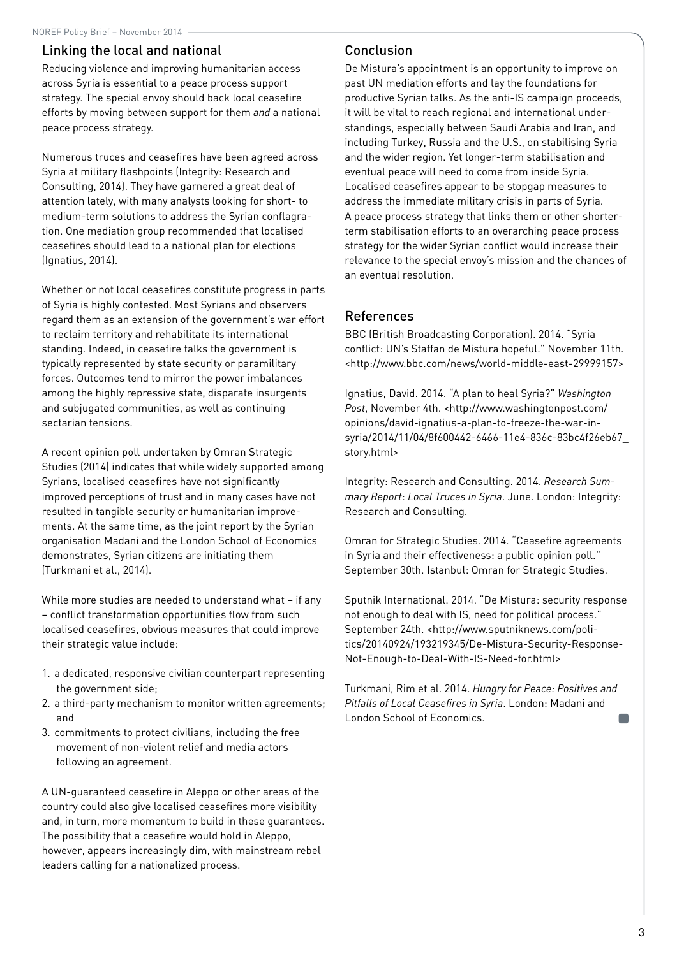#### Linking the local and national

Reducing violence and improving humanitarian access across Syria is essential to a peace process support strategy. The special envoy should back local ceasefire efforts by moving between support for them *and* a national peace process strategy.

Numerous truces and ceasefires have been agreed across Syria at military flashpoints (Integrity: Research and Consulting, 2014). They have garnered a great deal of attention lately, with many analysts looking for short- to medium-term solutions to address the Syrian conflagration. One mediation group recommended that localised ceasefires should lead to a national plan for elections (Ignatius, 2014).

Whether or not local ceasefires constitute progress in parts of Syria is highly contested. Most Syrians and observers regard them as an extension of the government's war effort to reclaim territory and rehabilitate its international standing. Indeed, in ceasefire talks the government is typically represented by state security or paramilitary forces. Outcomes tend to mirror the power imbalances among the highly repressive state, disparate insurgents and subjugated communities, as well as continuing sectarian tensions.

A recent opinion poll undertaken by Omran Strategic Studies (2014) indicates that while widely supported among Syrians, localised ceasefires have not significantly improved perceptions of trust and in many cases have not resulted in tangible security or humanitarian improvements. At the same time, as the joint report by the Syrian organisation Madani and the London School of Economics demonstrates, Syrian citizens are initiating them (Turkmani et al., 2014).

While more studies are needed to understand what – if any – conflict transformation opportunities flow from such localised ceasefires, obvious measures that could improve their strategic value include:

- 1. a dedicated, responsive civilian counterpart representing the government side;
- 2. a third-party mechanism to monitor written agreements; and
- 3. commitments to protect civilians, including the free movement of non-violent relief and media actors following an agreement.

A UN-guaranteed ceasefire in Aleppo or other areas of the country could also give localised ceasefires more visibility and, in turn, more momentum to build in these guarantees. The possibility that a ceasefire would hold in Aleppo, however, appears increasingly dim, with mainstream rebel leaders calling for a nationalized process.

#### Conclusion

De Mistura's appointment is an opportunity to improve on past UN mediation efforts and lay the foundations for productive Syrian talks. As the anti-IS campaign proceeds, it will be vital to reach regional and international understandings, especially between Saudi Arabia and Iran, and including Turkey, Russia and the U.S., on stabilising Syria and the wider region. Yet longer-term stabilisation and eventual peace will need to come from inside Syria. Localised ceasefires appear to be stopgap measures to address the immediate military crisis in parts of Syria. A peace process strategy that links them or other shorterterm stabilisation efforts to an overarching peace process strategy for the wider Syrian conflict would increase their relevance to the special envoy's mission and the chances of an eventual resolution.

#### References

BBC (British Broadcasting Corporation). 2014. "Syria conflict: UN's Staffan de Mistura hopeful." November 11th. <http://www.bbc.com/news/world-middle-east-29999157>

Ignatius, David. 2014. "A plan to heal Syria?" *Washington*  Post, November 4th. <http://www.washingtonpost.com/ opinions/david-ignatius-a-plan-to-freeze-the-war-insyria/2014/11/04/8f600442-6466-11e4-836c-83bc4f26eb67\_ story.html>

Integrity: Research and Consulting. 2014. *Research Summary Report*: *Local Truces in Syria*. June. London: Integrity: Research and Consulting.

Omran for Strategic Studies. 2014. "Ceasefire agreements in Syria and their effectiveness: a public opinion poll." September 30th. Istanbul: Omran for Strategic Studies.

Sputnik International. 2014. "De Mistura: security response not enough to deal with IS, need for political process." September 24th. <http://www.sputniknews.com/politics/20140924/193219345/De-Mistura-Security-Response-Not-Enough-to-Deal-With-IS-Need-for.html>

Turkmani, Rim et al. 2014. *Hungry for Peace: Positives and Pitfalls of Local Ceasefires in Syria*. London: Madani and London School of Economics.